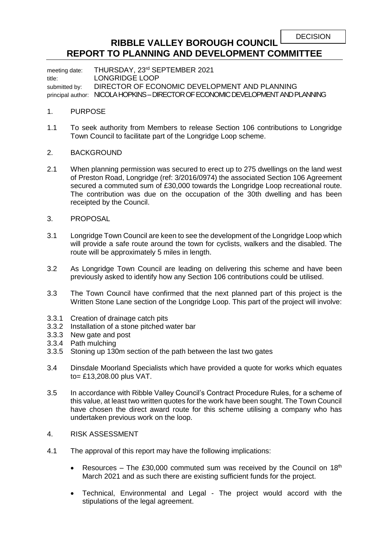## **RIBBLE VALLEY BOROUGH COUNCIL REPORT TO PLANNING AND DEVELOPMENT COMMITTEE**

meeting date: THURSDAY, 23rd SEPTEMBER 2021 title: LONGRIDGE LOOP submitted by: DIRECTOR OF ECONOMIC DEVELOPMENT AND PLANNING principal author: NICOLA HOPKINS – DIRECTOR OF ECONOMIC DEVELOPMENT AND PLANNING

## 1. PURPOSE

- 1.1 To seek authority from Members to release Section 106 contributions to Longridge Town Council to facilitate part of the Longridge Loop scheme.
- 2. BACKGROUND
- 2.1 When planning permission was secured to erect up to 275 dwellings on the land west of Preston Road, Longridge (ref: 3/2016/0974) the associated Section 106 Agreement secured a commuted sum of £30,000 towards the Longridge Loop recreational route. The contribution was due on the occupation of the 30th dwelling and has been receipted by the Council.
- 3. PROPOSAL
- 3.1 Longridge Town Council are keen to see the development of the Longridge Loop which will provide a safe route around the town for cyclists, walkers and the disabled. The route will be approximately 5 miles in length.
- 3.2 As Longridge Town Council are leading on delivering this scheme and have been previously asked to identify how any Section 106 contributions could be utilised.
- 3.3 The Town Council have confirmed that the next planned part of this project is the Written Stone Lane section of the Longridge Loop. This part of the project will involve:
- 3.3.1 Creation of drainage catch pits
- 3.3.2 Installation of a stone pitched water bar
- 3.3.3 New gate and post
- 3.3.4 Path mulching
- 3.3.5 Stoning up 130m section of the path between the last two gates
- 3.4 Dinsdale Moorland Specialists which have provided a quote for works which equates to= £13,208.00 plus VAT.
- 3.5 In accordance with Ribble Valley Council's Contract Procedure Rules, for a scheme of this value, at least two written quotes for the work have been sought. The Town Council have chosen the direct award route for this scheme utilising a company who has undertaken previous work on the loop.
- 4. RISK ASSESSMENT
- 4.1 The approval of this report may have the following implications:
	- Resources The £30,000 commuted sum was received by the Council on  $18<sup>th</sup>$ March 2021 and as such there are existing sufficient funds for the project.
	- Technical, Environmental and Legal The project would accord with the stipulations of the legal agreement.